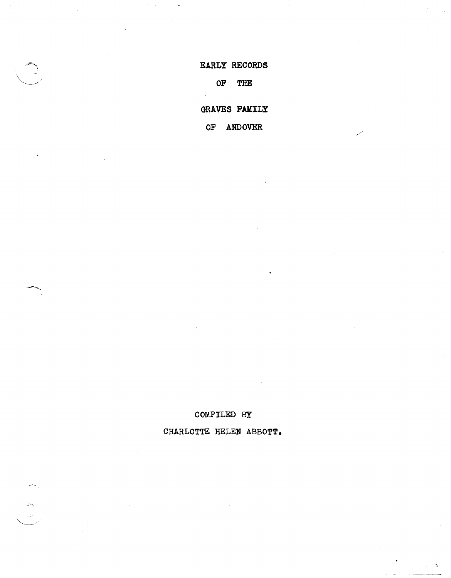## EARLY RECORDS

## OF THE

GRAVES FAMILY

OF ANDOVER

COMPILED BY

CHARLOTTE HELEN ABBOTT.

 $\mathbf{A}$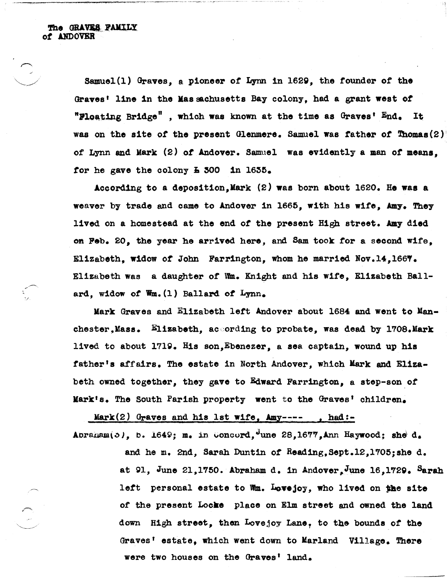'/

Samuel(l) Oraves, a pioneer of Lynn in l62g, the founder of the Graves' line in the Massachusetts Bay colony, had a grant west of "Ploating Bridge", which was known at the time as  $0$ raves'  $End_+$  It was on the site of the present Glenmere. Samuel was father of Thomas(2) of Lynn end Mark (2) *ot* Andover. Samuel was evidently a man of means, for he gave the colony  $\overline{1}$  300 in 1635.

According to a deposition. Mark  $(2)$  was born about 1620. He was a weaver by trade and came to Andover in 1665, with his wife, Amy. They lived on a homestead at the end of the present High street. Amy died Oft Peb. 20, the year he arrived here, and Sam took tor a second Wife, Elizabeth, widow *ot* John Farrington, whom he married Nov.14,166'. Elizabeth was a daughter of Wm. Knight and his Wife, Elizabeth Ballard, widow of  $\mathbf{W}_m$ . (1) Ballard of Lynn.

Mark Graves and Elizabeth left Andover about 1684 and went to Manchester, Mass.  $\frac{E11zabeth}{E1zabeth}$ , according to probate, was dead by 1708.Mark lived to about l7lg. His son,Ebenezer, a sea captain, wound up his father's affairs. The estate in North Andover, which Mark and Elizabeth owned together, they gave to Edward Farrington, a step-son of Mark's. The South Parish property went to the Graves' children.

Mark $(2)$  Graves and his 1st wife, Amy---- , had:-

Abraham $(5)$ , b. 1649; m. in  $\omega$ oncord, une 28,1677, Ann Haywood; she d. and he m. 2nd, Sarah Duntin *ot* Reading,Sept.12,1'05;she d. at 91, June 21,1750. Abraham d. in Andover. June 16,1729. Sarah left personal estate to Mm. Lovejoy, who lived on the site of the present Locke place on Elm street and owned the land down High street, then Lovejoy Lane, to the bounds of the Graves' estate, which went down to Marland Village. There were two houses on the Graves' land.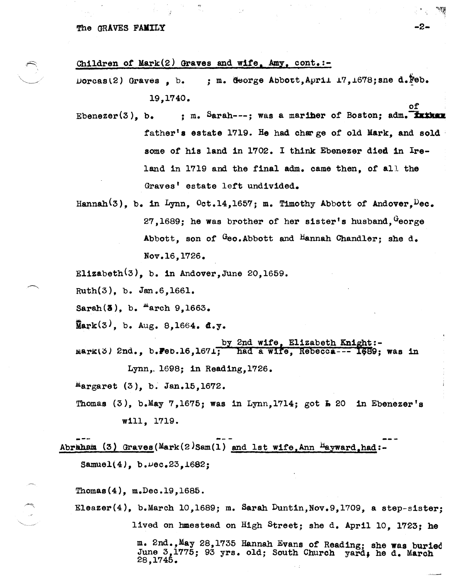## The GRAVES FAMILY  $-2$ -

Children of Mark (2) Graves and wife, Amy, cont. :-

 $\texttt{Doreas}(2)$  Graves , b. ; m. George Abbott, April 17, 1678; sne d. Feb. 19,1740.<br>
of

- Ebenezer(3), b.  $\cdot$   $\cdot$  m. Sarah---: was a mariner of Boston; adm. **Tather** father's estate 1719. He had charge of old Mark, and sold some of his land in 1702. I think Ebenezer died in Ireland in 1719 and the final adm. came then, of all the Graves' estate left undivided.
- Hannah<sup>(3)</sup>, b. in Lynn, Oct.14,1657; m. Timothy Abbott of Andover, Dec. 27,1689; he was brother of her sister's husband,  $G$ eorge Abbott, son of Geo.Abbott and Hannah Chandler; she d. Nov.16,1726.
- Elizabeth $(3)$ , b. in Andover, June 20, 1659.

Ruth(3), b. Jan.6,1661.

Sarah $(3)$ , b.  $^{\text{M}}$ arch 9,1663.

 $\bar{M}$ ark $(3)$ , b. Aug. 8.1664. d.y.

by 2nd wife, Elizabeth Knight:- $\texttt{Mark}(3)$  2nd., b. Feb.16,1671; had a wife, Rebecca--- 1689; was in Lynn,. 1698; in Reading,1726.

 $Margaret (3), b. Jan.15,1672.$ 

Thomas  $(3)$ , b.May 7,1675; was in Lynn,1714; got  $\overline{A}$  20 in Ebenezer's will, 1719.

Abraham  $(3)$  Graves(Mark $(2)$ Sam $(1)$  and 1st wife, Ann  $H$ ayward, had:-

 $Samuel(4)$ ,  $b. \nu ec. 23, 1682;$ 

28,1745.

Thomas(4), m.Dec.19,1685.

E1eazer(4), b.March 10,1689; m. Sarah Duntin,Nov.9,1709, a step-sister; lived on hmestead on High Street; she d. April 10, 1723; he m. 2nd.,May 28,1735 Hannah Evans of Reading; she was buried June 3,1775; 93 yrs. old; South Church yard, he d. March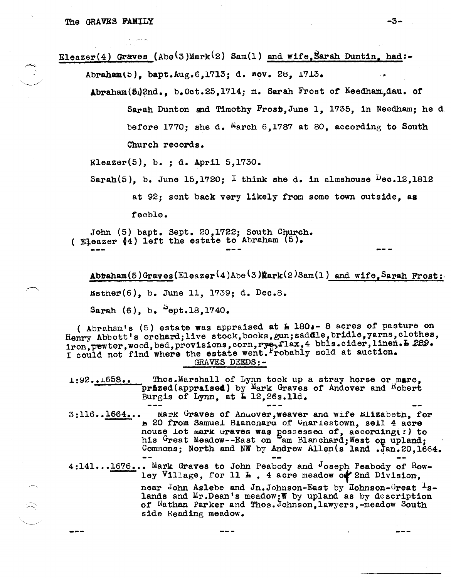$\widehat{\phantom{1}}$ 

Eleazer(4) Graves (Abe(3)Mark(2) Sam(1) and wife, Sarah Duntin, had:-

Abraham(5), bapt.Aug.6,1713; d. nov. 28, 1713.

Abraham(5.)2nd., b.Oct.25,1714; m. Sarah Frost of Needham.dau. of Sarah Dunton and Timothy Frosb,June 1, 1735, in Needham; he d before 1770; she d.  $^{M}$ arch 6,1787 at 80, according to South Church records.

Eleazer $(5)$ , b.; d. April 5,1730.

Sarah(5), b. June 15,1720; I think she d. in almshouse  $\log 12,1812$ at 92; sent back very likely from some town outside, aa

feeble.

John (5) bapt. Sept. 20, 1722; South Church. ( Eleazer  $(4)$  left the estate to Abraham  $(5)$ .

 $\texttt{Abtaham}(5)$ Graves(Eleazer<sup>(</sup>4)Abe<sup>(3)</sup> mark(2)Sam(1) and wife, Sarah Frost:  $Estner(6)$ , b. June 11, 1739; d. Dec.8. Sarah (6), b.  $^{5}$ ept.18,1740.

( Abraham's  $(5)$  estate was appraised at  $\overline{b}$  180.- 8 acres of pasture on Henry Abbott's orchard; live stock, books, gun; saddle, bridle, yarns, clothes, iron, pewter, wood, bed, provisions, corn, rye, flax, 4 bbls.cider, linen. L 289. I could not find where the estate went. Probably sold at auction. GRAVES DEEDS:-

i:~2 *•• J.658 ••*  Thos.Marshall of Lynn took up a stray horse or mare, prized(appraised) by Mark Graves of Andover and Hobert Burgis of Lynn, at  $\bar{L}$  12,26s.11d.

3:116..1664... Mark Graves of Anuover, weaver and wife Elizabeth, for <sup>~</sup>20 from Samuei Bi&ncnaru of vnariestown, sei1 4 acre nouse lot mark traves was possessed of, according(?) to his Great Meadow--East on Sam Blanchard; West on upland;<br>Commons; North and NW by Andrew Allen(s land .Jan.20,1664.

4:141...1676... Mark Graves to John Peabody and Joseph Peabody of Rowley Village, for  $11 L$ , 4 acre meadow of 2nd Division,

> near John Aslebe and Jn.Johnson-East by Johnson-Great <sup>1</sup>slands and Mr.Dean's meadow;W by upland as by description of Nathan Parker and Thos.Johnson,lawyers,-meadow South side Reading meadow.